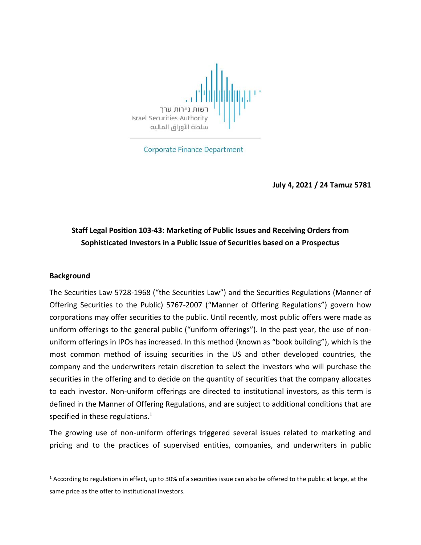

**Corporate Finance Department** 

**July 4, 2021 / 24 Tamuz 5781**

## **Staff Legal Position 103-43: Marketing of Public Issues and Receiving Orders from Sophisticated Investors in a Public Issue of Securities based on a Prospectus**

#### **Background**

 $\overline{\phantom{a}}$ 

The Securities Law 5728-1968 ("the Securities Law") and the Securities Regulations (Manner of Offering Securities to the Public) 5767-2007 ("Manner of Offering Regulations") govern how corporations may offer securities to the public. Until recently, most public offers were made as uniform offerings to the general public ("uniform offerings"). In the past year, the use of nonuniform offerings in IPOs has increased. In this method (known as "book building"), which is the most common method of issuing securities in the US and other developed countries, the company and the underwriters retain discretion to select the investors who will purchase the securities in the offering and to decide on the quantity of securities that the company allocates to each investor. Non-uniform offerings are directed to institutional investors, as this term is defined in the Manner of Offering Regulations, and are subject to additional conditions that are specified in these regulations.<sup>1</sup>

The growing use of non-uniform offerings triggered several issues related to marketing and pricing and to the practices of supervised entities, companies, and underwriters in public

 $1$  According to regulations in effect, up to 30% of a securities issue can also be offered to the public at large, at the same price as the offer to institutional investors.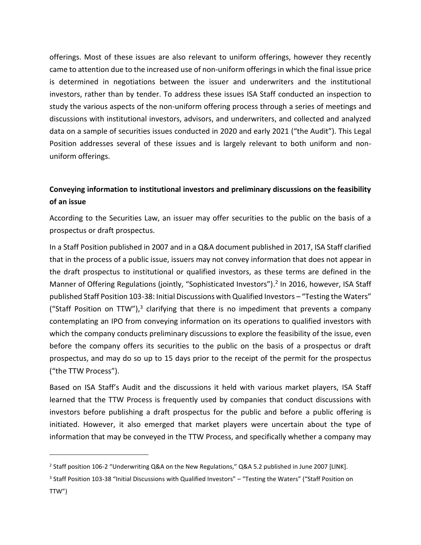offerings. Most of these issues are also relevant to uniform offerings, however they recently came to attention due to the increased use of non-uniform offerings in which the final issue price is determined in negotiations between the issuer and underwriters and the institutional investors, rather than by tender. To address these issues ISA Staff conducted an inspection to study the various aspects of the non-uniform offering process through a series of meetings and discussions with institutional investors, advisors, and underwriters, and collected and analyzed data on a sample of securities issues conducted in 2020 and early 2021 ("the Audit"). This Legal Position addresses several of these issues and is largely relevant to both uniform and nonuniform offerings.

## **Conveying information to institutional investors and preliminary discussions on the feasibility of an issue**

According to the Securities Law, an issuer may offer securities to the public on the basis of a prospectus or draft prospectus.

In a Staff Position published in 2007 and in a Q&A document published in 2017, ISA Staff clarified that in the process of a public issue, issuers may not convey information that does not appear in the draft prospectus to institutional or qualified investors, as these terms are defined in the Manner of Offering Regulations (jointly, "Sophisticated Investors").<sup>2</sup> In 2016, however, ISA Staff published Staff Position 103-38: Initial Discussions with Qualified Investors – "Testing the Waters" ("Staff Position on TTW"), $3$  clarifying that there is no impediment that prevents a company contemplating an IPO from conveying information on its operations to qualified investors with which the company conducts preliminary discussions to explore the feasibility of the issue, even before the company offers its securities to the public on the basis of a prospectus or draft prospectus, and may do so up to 15 days prior to the receipt of the permit for the prospectus ("the TTW Process").

Based on ISA Staff's Audit and the discussions it held with various market players, ISA Staff learned that the TTW Process is frequently used by companies that conduct discussions with investors before publishing a draft prospectus for the public and before a public offering is initiated. However, it also emerged that market players were uncertain about the type of information that may be conveyed in the TTW Process, and specifically whether a company may

<sup>&</sup>lt;sup>2</sup> Staff position 106-2 "Underwriting Q&A on the New Regulations," Q&A 5.2 published in June 2007 [LINK].

<sup>&</sup>lt;sup>3</sup> Staff Position 103-38 "Initial Discussions with Qualified Investors" – "Testing the Waters" ("Staff Position on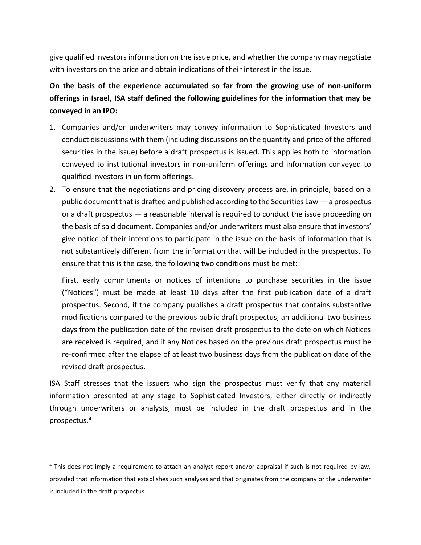give qualified investors information on the issue price, and whether the company may negotiate with investors on the price and obtain indications of their interest in the issue.

# **On the basis of the experience accumulated so far from the growing use of non-uniform offerings in Israel, ISA staff defined the following guidelines for the information that may be conveyed in an IPO:**

- 1. Companies and/or underwriters may convey information to Sophisticated Investors and conduct discussions with them (including discussions on the quantity and price of the offered securities in the issue) before a draft prospectus is issued. This applies both to information conveyed to institutional investors in non-uniform offerings and information conveyed to qualified investors in uniform offerings.
- 2. To ensure that the negotiations and pricing discovery process are, in principle, based on a public document that is drafted and published according to the Securities Law — a prospectus or a draft prospectus — a reasonable interval is required to conduct the issue proceeding on the basis of said document. Companies and/or underwriters must also ensure that investors' give notice of their intentions to participate in the issue on the basis of information that is not substantively different from the information that will be included in the prospectus. To ensure that this is the case, the following two conditions must be met:

First, early commitments or notices of intentions to purchase securities in the issue ("Notices") must be made at least 10 days after the first publication date of a draft prospectus. Second, if the company publishes a draft prospectus that contains substantive modifications compared to the previous public draft prospectus, an additional two business days from the publication date of the revised draft prospectus to the date on which Notices are received is required, and if any Notices based on the previous draft prospectus must be re-confirmed after the elapse of at least two business days from the publication date of the revised draft prospectus.

ISA Staff stresses that the issuers who sign the prospectus must verify that any material information presented at any stage to Sophisticated Investors, either directly or indirectly through underwriters or analysts, must be included in the draft prospectus and in the prospectus.<sup>4</sup>

<sup>4</sup> This does not imply a requirement to attach an analyst report and/or appraisal if such is not required by law, provided that information that establishes such analyses and that originates from the company or the underwriter is included in the draft prospectus.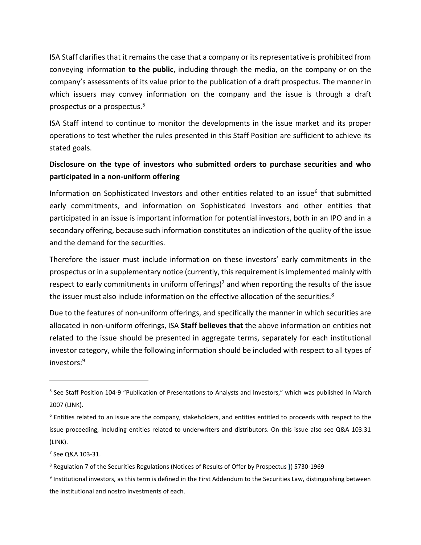ISA Staff clarifies that it remains the case that a company or its representative is prohibited from conveying information **to the public**, including through the media, on the company or on the company's assessments of its value prior to the publication of a draft prospectus. The manner in which issuers may convey information on the company and the issue is through a draft prospectus or a prospectus.<sup>5</sup>

ISA Staff intend to continue to monitor the developments in the issue market and its proper operations to test whether the rules presented in this Staff Position are sufficient to achieve its stated goals.

## **Disclosure on the type of investors who submitted orders to purchase securities and who participated in a non-uniform offering**

Information on Sophisticated Investors and other entities related to an issue<sup>6</sup> that submitted early commitments, and information on Sophisticated Investors and other entities that participated in an issue is important information for potential investors, both in an IPO and in a secondary offering, because such information constitutes an indication of the quality of the issue and the demand for the securities.

Therefore the issuer must include information on these investors' early commitments in the prospectus or in a supplementary notice (currently, this requirement is implemented mainly with respect to early commitments in uniform offerings)<sup>7</sup> and when reporting the results of the issue the issuer must also include information on the effective allocation of the securities.<sup>8</sup>

Due to the features of non-uniform offerings, and specifically the manner in which securities are allocated in non-uniform offerings, ISA **Staff believes that** the above information on entities not related to the issue should be presented in aggregate terms, separately for each institutional investor category, while the following information should be included with respect to all types of investors: 9

7 See Q&A 103-31.

<sup>&</sup>lt;sup>5</sup> See Staff Position 104-9 "Publication of Presentations to Analysts and Investors," which was published in March 2007 (LINK).

 $6$  Entities related to an issue are the company, stakeholders, and entities entitled to proceeds with respect to the issue proceeding, including entities related to underwriters and distributors. On this issue also see Q&A 103.31 (LINK).

<sup>8</sup> Regulation 7 of the Securities Regulations (Notices of Results of Offer by Prospectus **)**) 5730-1969

<sup>&</sup>lt;sup>9</sup> Institutional investors, as this term is defined in the First Addendum to the Securities Law, distinguishing between the institutional and nostro investments of each.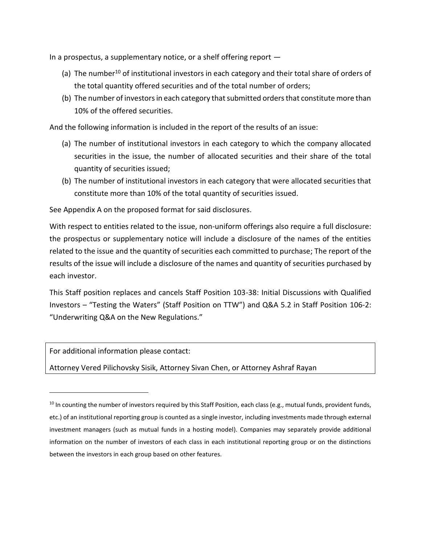In a prospectus, a supplementary notice, or a shelf offering report —

- (a) The number<sup>10</sup> of institutional investors in each category and their total share of orders of the total quantity offered securities and of the total number of orders;
- (b) The number of investors in each category that submitted orders that constitute more than 10% of the offered securities.

And the following information is included in the report of the results of an issue:

- (a) The number of institutional investors in each category to which the company allocated securities in the issue, the number of allocated securities and their share of the total quantity of securities issued;
- (b) The number of institutional investors in each category that were allocated securities that constitute more than 10% of the total quantity of securities issued.

See Appendix A on the proposed format for said disclosures.

With respect to entities related to the issue, non-uniform offerings also require a full disclosure: the prospectus or supplementary notice will include a disclosure of the names of the entities related to the issue and the quantity of securities each committed to purchase; The report of the results of the issue will include a disclosure of the names and quantity of securities purchased by each investor.

This Staff position replaces and cancels Staff Position 103-38: Initial Discussions with Qualified Investors – "Testing the Waters" (Staff Position on TTW") and Q&A 5.2 in Staff Position 106-2: "Underwriting Q&A on the New Regulations."

For additional information please contact:

 $\overline{\phantom{a}}$ 

Attorney Vered Pilichovsky Sisik, Attorney Sivan Chen, or Attorney Ashraf Rayan

 $10$  In counting the number of investors required by this Staff Position, each class (e.g., mutual funds, provident funds, etc.) of an institutional reporting group is counted as a single investor, including investments made through external investment managers (such as mutual funds in a hosting model). Companies may separately provide additional information on the number of investors of each class in each institutional reporting group or on the distinctions between the investors in each group based on other features.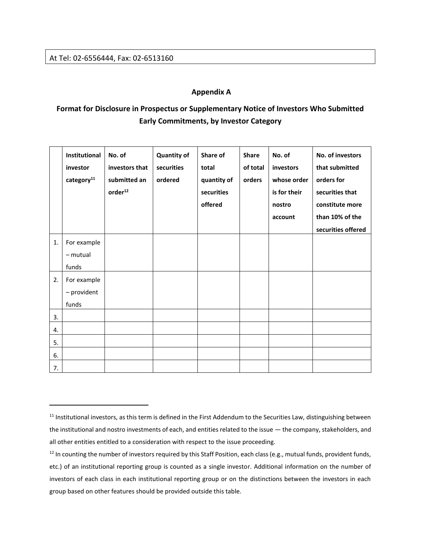$\overline{\phantom{a}}$ 

#### **Appendix A**

## **Format for Disclosure in Prospectus or Supplementary Notice of Investors Who Submitted Early Commitments, by Investor Category**

|          | Institutional<br>investor<br>category <sup>11</sup> | No. of<br>investors that<br>submitted an<br>order <sup>12</sup> | <b>Quantity of</b><br>securities<br>ordered | Share of<br>total<br>quantity of<br>securities<br>offered | <b>Share</b><br>of total<br>orders | No. of<br>investors<br>whose order<br>is for their<br>nostro<br>account | No. of investors<br>that submitted<br>orders for<br>securities that<br>constitute more<br>than 10% of the<br>securities offered |
|----------|-----------------------------------------------------|-----------------------------------------------------------------|---------------------------------------------|-----------------------------------------------------------|------------------------------------|-------------------------------------------------------------------------|---------------------------------------------------------------------------------------------------------------------------------|
| 1.       | For example<br>- mutual<br>funds                    |                                                                 |                                             |                                                           |                                    |                                                                         |                                                                                                                                 |
| 2.       | For example<br>- provident<br>funds                 |                                                                 |                                             |                                                           |                                    |                                                                         |                                                                                                                                 |
| 3.       |                                                     |                                                                 |                                             |                                                           |                                    |                                                                         |                                                                                                                                 |
| 4.<br>5. |                                                     |                                                                 |                                             |                                                           |                                    |                                                                         |                                                                                                                                 |
| 6.<br>7. |                                                     |                                                                 |                                             |                                                           |                                    |                                                                         |                                                                                                                                 |

<sup>&</sup>lt;sup>11</sup> Institutional investors, as this term is defined in the First Addendum to the Securities Law, distinguishing between the institutional and nostro investments of each, and entities related to the issue — the company, stakeholders, and all other entities entitled to a consideration with respect to the issue proceeding.

<sup>&</sup>lt;sup>12</sup> In counting the number of investors required by this Staff Position, each class (e.g., mutual funds, provident funds, etc.) of an institutional reporting group is counted as a single investor. Additional information on the number of investors of each class in each institutional reporting group or on the distinctions between the investors in each group based on other features should be provided outside this table.